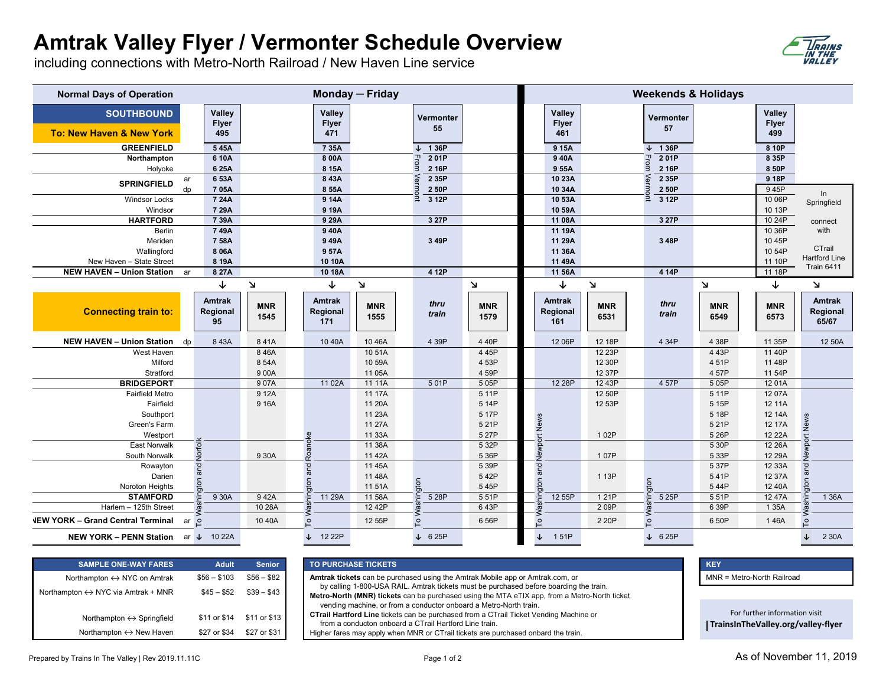## **Amtrak Valley Flyer / Vermonter Schedule Overview**

including connections with Metro-North Railroad / New Haven Line service

| <b>Normal Days of Operation</b>               | Monday - Friday                 |                    |                                  |                    |                 |                    | <b>Weekends &amp; Holidays</b>       |                    |                 |                    |                                      |                                    |
|-----------------------------------------------|---------------------------------|--------------------|----------------------------------|--------------------|-----------------|--------------------|--------------------------------------|--------------------|-----------------|--------------------|--------------------------------------|------------------------------------|
| <b>SOUTHBOUND</b><br>To: New Haven & New York | Valley<br><b>Flyer</b><br>495   |                    | Valley<br><b>Flyer</b><br>471    |                    | Vermonter<br>55 |                    | <b>Valley</b><br><b>Flyer</b><br>461 |                    | Vermonter<br>57 |                    | <b>Valley</b><br><b>Flyer</b><br>499 |                                    |
| <b>GREENFIELD</b>                             | 545A                            |                    | 735A                             |                    | 1 36P           |                    | 9 15A                                |                    | 1 36P           |                    | 8 10P                                |                                    |
| Northampton                                   | 6 10A                           |                    | 8 00A                            |                    | 201P            |                    | 940A                                 |                    | 201P<br>ᆩ       |                    | 8 35P                                |                                    |
| Holyoke                                       | 6 25A                           |                    | 8 15A                            |                    | 2 16P           |                    | 955A                                 |                    | 2 16P           |                    | 8 50P                                |                                    |
| <b>SPRINGFIELD</b>                            | 6 53A<br>ar                     |                    | 843A                             |                    | 2 35P           |                    | 10 23A                               |                    | 2 35P           |                    | 9 18P                                |                                    |
|                                               | dp<br>705A                      |                    | 8 55A                            |                    | 2 50P           |                    | 10 34A                               |                    | 2 50P           |                    | 945P                                 | In                                 |
| <b>Windsor Locks</b>                          | 7 24A                           |                    | 9 14A                            |                    | 3 12P           |                    | 10 53A                               |                    | 3 12P           |                    | 10 06P                               | Springfield                        |
| Windsor                                       | 7 29A                           |                    | 9 19A                            |                    |                 |                    | 10 59A                               |                    |                 |                    | 10 13P                               |                                    |
| <b>HARTFORD</b>                               | 7 39A                           |                    | 9 29A                            |                    | 3 27P           |                    | 11 08A                               |                    | 3 27P           |                    | 10 24P<br>10 36P                     | connect                            |
| <b>Berlin</b><br>Meriden                      | 749A<br>7 58A                   |                    | 940A<br>949A                     |                    | 3 49P           |                    | 11 19A<br>11 29A                     |                    | 3 48P           |                    | 10 45P                               | with                               |
| Wallingford                                   | 8 06A                           |                    | 957A                             |                    |                 |                    | 11 36A                               |                    |                 |                    | 10 54P                               | CTrail                             |
| New Haven - State Street                      | 8 19A                           |                    | 10 10A                           |                    |                 |                    | 11 49A                               |                    |                 |                    | 11 10P                               | <b>Hartford Line</b>               |
| <b>NEW HAVEN - Union Station</b>              | 8 27A<br>ar                     |                    | 10 18A                           |                    | 4 12P           |                    | 11 56A                               |                    | 4 14P           |                    | 11 18P                               | <b>Train 6411</b>                  |
|                                               | ↓                               | N                  | ↓                                | $\mathbf{v}$       |                 | $\mathbf{v}$       | ↓                                    | $\Delta$           |                 | $\mathbf{v}$       | ↓                                    | N                                  |
| <b>Connecting train to:</b>                   | <b>Amtrak</b><br>Regional<br>95 | <b>MNR</b><br>1545 | <b>Amtrak</b><br>Regional<br>171 | <b>MNR</b><br>1555 | thru<br>train   | <b>MNR</b><br>1579 | <b>Amtrak</b><br>Regional<br>161     | <b>MNR</b><br>6531 | thru<br>train   | <b>MNR</b><br>6549 | <b>MNR</b><br>6573                   | <b>Amtrak</b><br>Regional<br>65/67 |
| <b>NEW HAVEN - Union Station</b>              | 843A<br>dp                      | 841A               | 10 40A                           | 1046A              | 4 39P           | 440P               | 12 06P                               | 12 18P             | 4 34P           | 4 38P              | 11 35P                               | 12 50A                             |
| West Haven                                    |                                 | 846A               |                                  | 10 51A             |                 |                    |                                      |                    |                 |                    |                                      |                                    |
| Milford                                       |                                 |                    |                                  |                    |                 | 4 4 5 P            |                                      | 12 23P             |                 | 4 43P              | 11 40P                               |                                    |
|                                               |                                 | 8 54A              |                                  | 10 59A             |                 | 4 53P              |                                      | 12 30P             |                 | 451P               | 11 48P                               |                                    |
| Stratford                                     |                                 | 900A               |                                  | 11 05A             |                 | 4 59P              |                                      | 12 37P             |                 | 4 57P              | 11 54P                               |                                    |
| <b>BRIDGEPORT</b>                             |                                 | 907A               | 11 02A                           | 11 11A             | 501P            | 505P               | 12 28P                               | 12 43P             | 4 57P           | 5 05P              | 12 01A                               |                                    |
| <b>Fairfield Metro</b>                        |                                 | 9 12A              |                                  | 11 17A             |                 | 511P               |                                      | 12 50P             |                 | 5 11P              | 12 07A                               |                                    |
| Fairfield                                     |                                 | 9 16A              |                                  | 11 20A             |                 | 5 14P              |                                      | 12 53P             |                 | 5 15P              | 12 11A                               |                                    |
| Southport                                     |                                 |                    |                                  | 11 23A             |                 | 5 17P              |                                      |                    |                 | 5 18P              | 12 14A                               |                                    |
| Green's Farm                                  |                                 |                    |                                  | 11 27A             |                 | 5 21P              |                                      |                    |                 | 5 21P              | 12 17A                               |                                    |
| Westport                                      |                                 |                    | ٩                                | 11 33A             |                 | 5 27P              | ort News                             | 102P               |                 | 5 26P              | 12 22A                               | ort News                           |
| <b>East Norwalk</b>                           |                                 |                    |                                  | 11 38A             |                 | 5 32P              |                                      |                    |                 | 5 30P              | 12 26A                               |                                    |
| South Norwalk                                 | Norfolk                         | 9 30A              | Roanok                           | 11 42A             |                 | 5 36P              | Newpo                                | 107P               |                 | 5 33P              | 12 29A                               | Newpr                              |
| Rowayton                                      | and                             |                    | and                              | 11 45A             |                 | 5 39P              | and                                  |                    |                 | 5 37P              | 12 33A                               | and                                |
| Darien                                        |                                 |                    | $\overline{5}$                   | 11 48A             | $\overline{5}$  | 542P               | $\overline{5}$                       | 1 13P              |                 | 541P               | 12 37A                               |                                    |
| Noroton Heights<br><b>STAMFORD</b>            | gton<br>9 30A                   | 942A               | 11 29A                           | 11 51A<br>11 58A   |                 | 545P<br>551P       |                                      | 1 21 P             | 5 25P           | 544P<br>5 51P      | 12 40A<br>12 47A                     | pton<br>1 36A                      |
| Harlem - 125th Street                         |                                 | 10 28A             |                                  | 12 42P             | 5 28P           | 643P               | 12 55P                               | 209P               |                 | 6 39P              | 1 3 5 A                              |                                    |
| <b>NEW YORK - Grand Central Terminal</b>      | ar o                            | 10 40A             | o.                               | 12 55P             | o.              | 6 56P              | ToV                                  | 2 20P              | $\circ$         | 6 50P              | 146A                                 | $\overline{c}$                     |

| <b>SAMPLE ONE-WAY FARES</b>                 | <b>Adult</b> | <b>Senior</b> |
|---------------------------------------------|--------------|---------------|
| Northampton $\leftrightarrow$ NYC on Amtrak | $$56 - $103$ | $$56 - $82$   |
| Northampton ↔ NYC via Amtrak + MNR          | $$45 - $52$  | $$39 - $43$   |
| Northampton $\leftrightarrow$ Springfield   | \$11 or \$14 | \$11 or \$13  |
| Northampton $\leftrightarrow$ New Haven     | \$27 or \$34 | \$27 or \$31  |

## **SAMPLE ONE-WAY FARES Senior TO PURCHASE TICKETS**

**Amtrak tickets** can be purchased using the Amtrak Mobile app or Amtrak.com, or by calling 1-800-USA RAIL. Amtrak tickets must be purchased before boarding the train. **Metro-North (MNR) tickets** can be purchased using the MTA eTIX app, from a Metro-North ticket vending machine, or from a conductor onboard a Metro-North train.

**CTrail Hartford Line** tickets can be purchased from a CTrail Ticket Vending Machine or from a conducton onboard a CTrail Hartford Line train.

Higher fares may apply when MNR or CTrail tickets are purchased onbard the train.

MNR = Metro-North Railroad

For further information visit **[TrainsInTheValley.org/valley](https://trainsinthevalley.org/valley-flyer/)‐flyer**